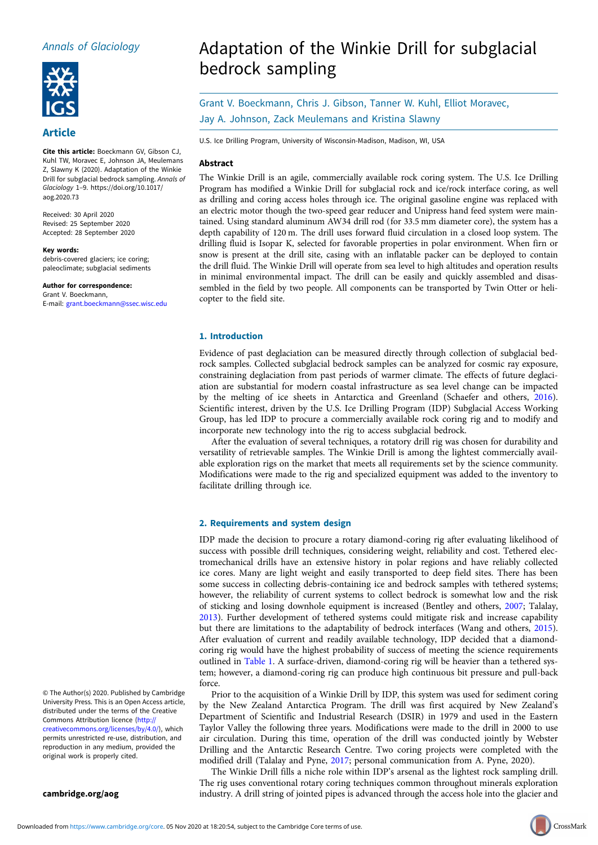## Annals of Glaciology



### Article

Cite this article: Boeckmann GV, Gibson CJ, Kuhl TW, Moravec E, Johnson JA, Meulemans Z, Slawny K (2020). Adaptation of the Winkie Drill for subglacial bedrock sampling. Annals of Glaciology <sup>1</sup>–9. [https://doi.org/10.1017/](https://doi.org/10.1017/aog.2020.73) [aog.2020.73](https://doi.org/10.1017/aog.2020.73)

Received: 30 April 2020 Revised: 25 September 2020 Accepted: 28 September 2020

Key words: debris-covered glaciers; ice coring; paleoclimate; subglacial sediments

Author for correspondence: Grant V. Boeckmann, E-mail: [grant.boeckmann@ssec.wisc.edu](mailto:grant.boeckmann@ssec.wisc.edu)

© The Author(s) 2020. Published by Cambridge University Press. This is an Open Access article, distributed under the terms of the Creative Commons Attribution licence ([http://](http://creativecommons.org/licenses/by/4.0/) [creativecommons.org/licenses/by/4.0/](http://creativecommons.org/licenses/by/4.0/)), which permits unrestricted re-use, distribution, and reproduction in any medium, provided the original work is properly cited.

[cambridge.org/aog](https://www.cambridge.org/aog)

# Adaptation of the Winkie Drill for subglacial bedrock sampling

Grant V. Boeckmann, Chris J. Gibson, Tanner W. Kuhl, Elliot Moravec, Jay A. Johnson, Zack Meulemans and Kristina Slawny

U.S. Ice Drilling Program, University of Wisconsin-Madison, Madison, WI, USA

#### Abstract

The Winkie Drill is an agile, commercially available rock coring system. The U.S. Ice Drilling Program has modified a Winkie Drill for subglacial rock and ice/rock interface coring, as well as drilling and coring access holes through ice. The original gasoline engine was replaced with an electric motor though the two-speed gear reducer and Unipress hand feed system were maintained. Using standard aluminum AW34 drill rod (for 33.5 mm diameter core), the system has a depth capability of 120 m. The drill uses forward fluid circulation in a closed loop system. The drilling fluid is Isopar K, selected for favorable properties in polar environment. When firn or snow is present at the drill site, casing with an inflatable packer can be deployed to contain the drill fluid. The Winkie Drill will operate from sea level to high altitudes and operation results in minimal environmental impact. The drill can be easily and quickly assembled and disassembled in the field by two people. All components can be transported by Twin Otter or helicopter to the field site.

#### 1. Introduction

Evidence of past deglaciation can be measured directly through collection of subglacial bedrock samples. Collected subglacial bedrock samples can be analyzed for cosmic ray exposure, constraining deglaciation from past periods of warmer climate. The effects of future deglaciation are substantial for modern coastal infrastructure as sea level change can be impacted by the melting of ice sheets in Antarctica and Greenland (Schaefer and others, [2016](#page-8-0)). Scientific interest, driven by the U.S. Ice Drilling Program (IDP) Subglacial Access Working Group, has led IDP to procure a commercially available rock coring rig and to modify and incorporate new technology into the rig to access subglacial bedrock.

After the evaluation of several techniques, a rotatory drill rig was chosen for durability and versatility of retrievable samples. The Winkie Drill is among the lightest commercially available exploration rigs on the market that meets all requirements set by the science community. Modifications were made to the rig and specialized equipment was added to the inventory to facilitate drilling through ice.

#### 2. Requirements and system design

IDP made the decision to procure a rotary diamond-coring rig after evaluating likelihood of success with possible drill techniques, considering weight, reliability and cost. Tethered electromechanical drills have an extensive history in polar regions and have reliably collected ice cores. Many are light weight and easily transported to deep field sites. There has been some success in collecting debris-containing ice and bedrock samples with tethered systems; however, the reliability of current systems to collect bedrock is somewhat low and the risk of sticking and losing downhole equipment is increased (Bentley and others, [2007;](#page-8-0) Talalay, [2013\)](#page-8-0). Further development of tethered systems could mitigate risk and increase capability but there are limitations to the adaptability of bedrock interfaces (Wang and others, [2015](#page-8-0)). After evaluation of current and readily available technology, IDP decided that a diamondcoring rig would have the highest probability of success of meeting the science requirements outlined in [Table 1.](#page-1-0) A surface-driven, diamond-coring rig will be heavier than a tethered system; however, a diamond-coring rig can produce high continuous bit pressure and pull-back force.

Prior to the acquisition of a Winkie Drill by IDP, this system was used for sediment coring by the New Zealand Antarctica Program. The drill was first acquired by New Zealand's Department of Scientific and Industrial Research (DSIR) in 1979 and used in the Eastern Taylor Valley the following three years. Modifications were made to the drill in 2000 to use air circulation. During this time, operation of the drill was conducted jointly by Webster Drilling and the Antarctic Research Centre. Two coring projects were completed with the modified drill (Talalay and Pyne, [2017;](#page-8-0) personal communication from A. Pyne, 2020).

The Winkie Drill fills a niche role within IDP's arsenal as the lightest rock sampling drill. The rig uses conventional rotary coring techniques common throughout minerals exploration industry. A drill string of jointed pipes is advanced through the access hole into the glacier and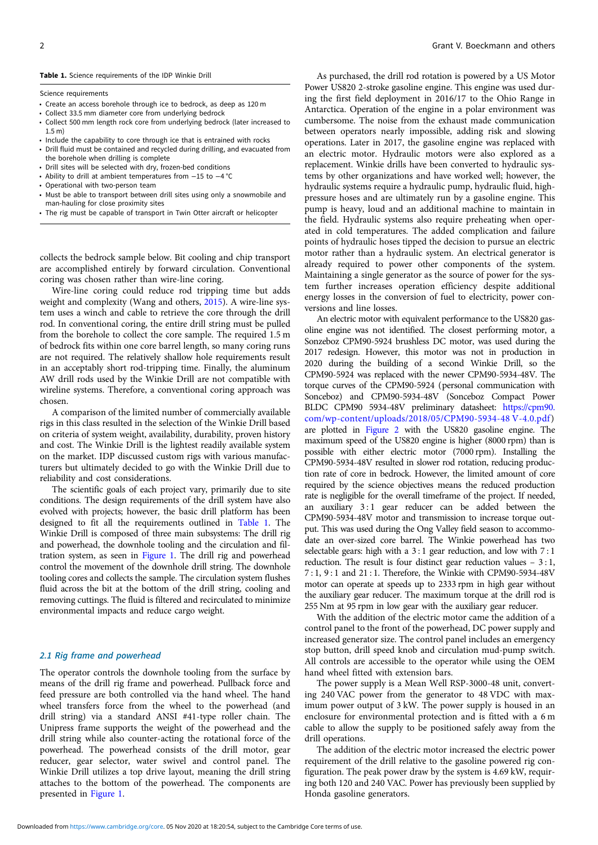#### <span id="page-1-0"></span>Table 1. Science requirements of the IDP Winkie Drill

Science requirements

- Create an access borehole through ice to bedrock, as deep as 120 m
- Collect 33.5 mm diameter core from underlying bedrock
- Collect 500 mm length rock core from underlying bedrock (later increased to 1.5 m)
- Include the capability to core through ice that is entrained with rocks
- Drill fluid must be contained and recycled during drilling, and evacuated from the borehole when drilling is complete
- Drill sites will be selected with dry, frozen-bed conditions
- Ability to drill at ambient temperatures from −15 to −4 °C
- Operational with two-person team
- Must be able to transport between drill sites using only a snowmobile and man-hauling for close proximity sites
- The rig must be capable of transport in Twin Otter aircraft or helicopter

collects the bedrock sample below. Bit cooling and chip transport are accomplished entirely by forward circulation. Conventional coring was chosen rather than wire-line coring.

Wire-line coring could reduce rod tripping time but adds weight and complexity (Wang and others, [2015](#page-8-0)). A wire-line system uses a winch and cable to retrieve the core through the drill rod. In conventional coring, the entire drill string must be pulled from the borehole to collect the core sample. The required 1.5 m of bedrock fits within one core barrel length, so many coring runs are not required. The relatively shallow hole requirements result in an acceptably short rod-tripping time. Finally, the aluminum AW drill rods used by the Winkie Drill are not compatible with wireline systems. Therefore, a conventional coring approach was chosen.

A comparison of the limited number of commercially available rigs in this class resulted in the selection of the Winkie Drill based on criteria of system weight, availability, durability, proven history and cost. The Winkie Drill is the lightest readily available system on the market. IDP discussed custom rigs with various manufacturers but ultimately decided to go with the Winkie Drill due to reliability and cost considerations.

The scientific goals of each project vary, primarily due to site conditions. The design requirements of the drill system have also evolved with projects; however, the basic drill platform has been designed to fit all the requirements outlined in Table 1. The Winkie Drill is composed of three main subsystems: The drill rig and powerhead, the downhole tooling and the circulation and filtration system, as seen in [Figure 1](#page-2-0). The drill rig and powerhead control the movement of the downhole drill string. The downhole tooling cores and collects the sample. The circulation system flushes fluid across the bit at the bottom of the drill string, cooling and removing cuttings. The fluid is filtered and recirculated to minimize environmental impacts and reduce cargo weight.

#### 2.1 Rig frame and powerhead

The operator controls the downhole tooling from the surface by means of the drill rig frame and powerhead. Pullback force and feed pressure are both controlled via the hand wheel. The hand wheel transfers force from the wheel to the powerhead (and drill string) via a standard ANSI #41-type roller chain. The Unipress frame supports the weight of the powerhead and the drill string while also counter-acting the rotational force of the powerhead. The powerhead consists of the drill motor, gear reducer, gear selector, water swivel and control panel. The Winkie Drill utilizes a top drive layout, meaning the drill string attaches to the bottom of the powerhead. The components are presented in [Figure 1.](#page-2-0)

As purchased, the drill rod rotation is powered by a US Motor Power US820 2-stroke gasoline engine. This engine was used during the first field deployment in 2016/17 to the Ohio Range in Antarctica. Operation of the engine in a polar environment was cumbersome. The noise from the exhaust made communication between operators nearly impossible, adding risk and slowing operations. Later in 2017, the gasoline engine was replaced with an electric motor. Hydraulic motors were also explored as a replacement. Winkie drills have been converted to hydraulic systems by other organizations and have worked well; however, the hydraulic systems require a hydraulic pump, hydraulic fluid, highpressure hoses and are ultimately run by a gasoline engine. This pump is heavy, loud and an additional machine to maintain in the field. Hydraulic systems also require preheating when operated in cold temperatures. The added complication and failure points of hydraulic hoses tipped the decision to pursue an electric motor rather than a hydraulic system. An electrical generator is already required to power other components of the system. Maintaining a single generator as the source of power for the system further increases operation efficiency despite additional energy losses in the conversion of fuel to electricity, power conversions and line losses.

An electric motor with equivalent performance to the US820 gasoline engine was not identified. The closest performing motor, a Sonzeboz CPM90-5924 brushless DC motor, was used during the 2017 redesign. However, this motor was not in production in 2020 during the building of a second Winkie Drill, so the CPM90-5924 was replaced with the newer CPM90-5934-48V. The torque curves of the CPM90-5924 (personal communication with Sonceboz) and CPM90-5934-48V (Sonceboz Compact Power BLDC CPM90 5934-48V preliminary datasheet: [https://cpm90.](https://cpm90.com/wp-content/uploads/2018/05/CPM90-5934-48V-4.0.pdf) [com/wp-content/uploads/2018/05/CPM90-5934-48 V-4.0.pdf](https://cpm90.com/wp-content/uploads/2018/05/CPM90-5934-48V-4.0.pdf)) are plotted in [Figure 2](#page-2-0) with the US820 gasoline engine. The maximum speed of the US820 engine is higher (8000 rpm) than is possible with either electric motor (7000 rpm). Installing the CPM90-5934-48V resulted in slower rod rotation, reducing production rate of core in bedrock. However, the limited amount of core required by the science objectives means the reduced production rate is negligible for the overall timeframe of the project. If needed, an auxiliary 3:1 gear reducer can be added between the CPM90-5934-48V motor and transmission to increase torque output. This was used during the Ong Valley field season to accommodate an over-sized core barrel. The Winkie powerhead has two selectable gears: high with a 3 : 1 gear reduction, and low with 7 : 1 reduction. The result is four distinct gear reduction values  $-3:1$ , 7 : 1, 9 : 1 and 21 : 1. Therefore, the Winkie with CPM90-5934-48V motor can operate at speeds up to 2333 rpm in high gear without the auxiliary gear reducer. The maximum torque at the drill rod is 255 Nm at 95 rpm in low gear with the auxiliary gear reducer.

With the addition of the electric motor came the addition of a control panel to the front of the powerhead, DC power supply and increased generator size. The control panel includes an emergency stop button, drill speed knob and circulation mud-pump switch. All controls are accessible to the operator while using the OEM hand wheel fitted with extension bars.

The power supply is a Mean Well RSP-3000-48 unit, converting 240 VAC power from the generator to 48 VDC with maximum power output of 3 kW. The power supply is housed in an enclosure for environmental protection and is fitted with a 6 m cable to allow the supply to be positioned safely away from the drill operations.

The addition of the electric motor increased the electric power requirement of the drill relative to the gasoline powered rig configuration. The peak power draw by the system is 4.69 kW, requiring both 120 and 240 VAC. Power has previously been supplied by Honda gasoline generators.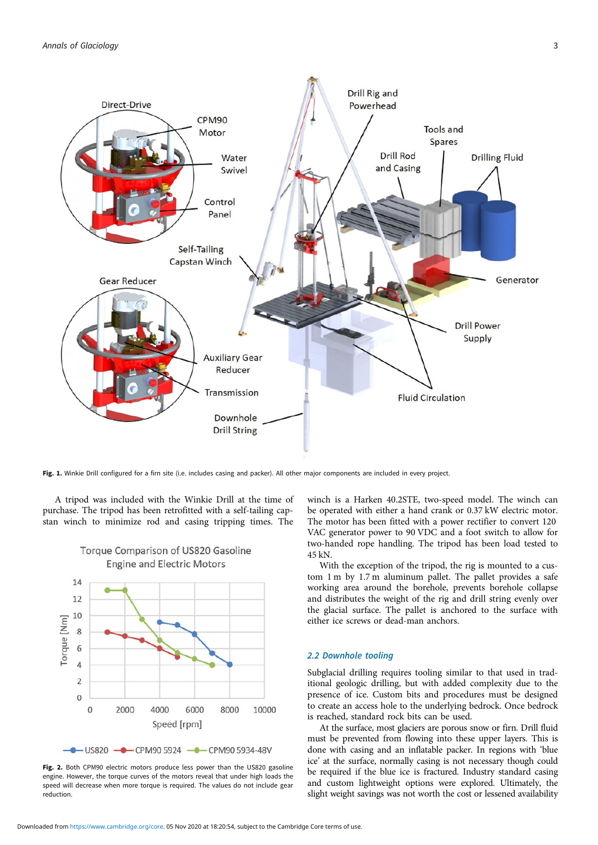<span id="page-2-0"></span>

Fig. 1. Winkie Drill configured for a firn site (i.e. includes casing and packer). All other major components are included in every project.

A tripod was included with the Winkie Drill at the time of purchase. The tripod has been retrofitted with a self-tailing capstan winch to minimize rod and casing tripping times. The



## Torque Comparison of US820 Gasoline **Engine and Electric Motors**

Fig. 2. Both CPM90 electric motors produce less power than the US820 gasoline engine. However, the torque curves of the motors reveal that under high loads the speed will decrease when more torque is required. The values do not include gear reduction.

winch is a Harken 40.2STE, two-speed model. The winch can be operated with either a hand crank or 0.37 kW electric motor. The motor has been fitted with a power rectifier to convert 120 VAC generator power to 90 VDC and a foot switch to allow for two-handed rope handling. The tripod has been load tested to 45 kN.

With the exception of the tripod, the rig is mounted to a custom 1 m by 1.7 m aluminum pallet. The pallet provides a safe working area around the borehole, prevents borehole collapse and distributes the weight of the rig and drill string evenly over the glacial surface. The pallet is anchored to the surface with either ice screws or dead-man anchors.

#### 2.2 Downhole tooling

Subglacial drilling requires tooling similar to that used in traditional geologic drilling, but with added complexity due to the presence of ice. Custom bits and procedures must be designed to create an access hole to the underlying bedrock. Once bedrock is reached, standard rock bits can be used.

At the surface, most glaciers are porous snow or firn. Drill fluid must be prevented from flowing into these upper layers. This is done with casing and an inflatable packer. In regions with 'blue ice' at the surface, normally casing is not necessary though could be required if the blue ice is fractured. Industry standard casing and custom lightweight options were explored. Ultimately, the slight weight savings was not worth the cost or lessened availability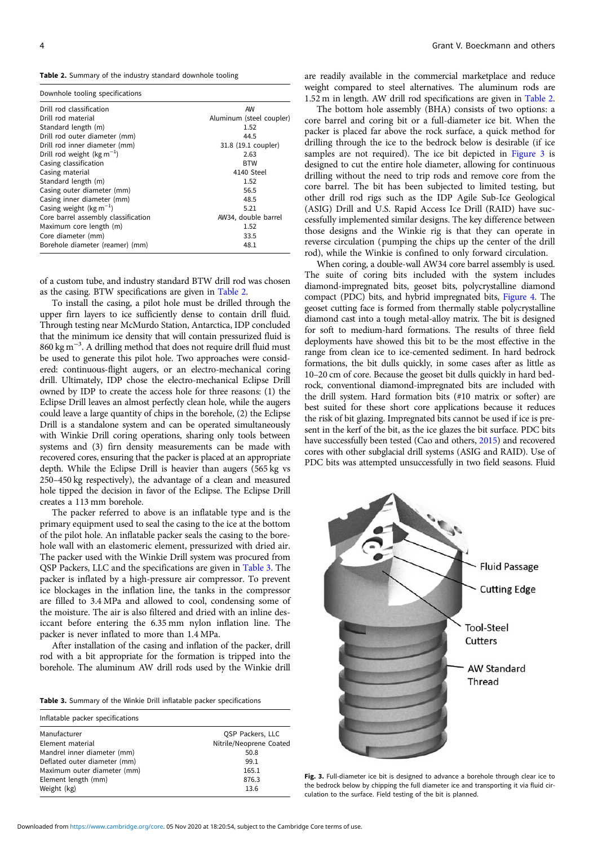Table 2. Summary of the industry standard downhole tooling

| Downhole tooling specifications     |                          |
|-------------------------------------|--------------------------|
| Drill rod classification            | AW                       |
| Drill rod material                  | Aluminum (steel coupler) |
| Standard length (m)                 | 1.52                     |
| Drill rod outer diameter (mm)       | 44.5                     |
| Drill rod inner diameter (mm)       | 31.8 (19.1 coupler)      |
| Drill rod weight ( $kg m^{-1}$ )    | 2.63                     |
| Casing classification               | <b>BTW</b>               |
| Casing material                     | 4140 Steel               |
| Standard length (m)                 | 1.52                     |
| Casing outer diameter (mm)          | 56.5                     |
| Casing inner diameter (mm)          | 48.5                     |
| Casing weight ( $kg m^{-1}$ )       | 5.21                     |
| Core barrel assembly classification | AW34, double barrel      |
| Maximum core length (m)             | 1.52                     |
| Core diameter (mm)                  | 33.5                     |
| Borehole diameter (reamer) (mm)     | 48.1                     |

of a custom tube, and industry standard BTW drill rod was chosen as the casing. BTW specifications are given in Table 2.

To install the casing, a pilot hole must be drilled through the upper firn layers to ice sufficiently dense to contain drill fluid. Through testing near McMurdo Station, Antarctica, IDP concluded that the minimum ice density that will contain pressurized fluid is 860 kg m−<sup>3</sup> . A drilling method that does not require drill fluid must be used to generate this pilot hole. Two approaches were considered: continuous-flight augers, or an electro-mechanical coring drill. Ultimately, IDP chose the electro-mechanical Eclipse Drill owned by IDP to create the access hole for three reasons: (1) the Eclipse Drill leaves an almost perfectly clean hole, while the augers could leave a large quantity of chips in the borehole, (2) the Eclipse Drill is a standalone system and can be operated simultaneously with Winkie Drill coring operations, sharing only tools between systems and (3) firn density measurements can be made with recovered cores, ensuring that the packer is placed at an appropriate depth. While the Eclipse Drill is heavier than augers (565 kg vs 250–450 kg respectively), the advantage of a clean and measured hole tipped the decision in favor of the Eclipse. The Eclipse Drill creates a 113 mm borehole.

The packer referred to above is an inflatable type and is the primary equipment used to seal the casing to the ice at the bottom of the pilot hole. An inflatable packer seals the casing to the borehole wall with an elastomeric element, pressurized with dried air. The packer used with the Winkie Drill system was procured from QSP Packers, LLC and the specifications are given in Table 3. The packer is inflated by a high-pressure air compressor. To prevent ice blockages in the inflation line, the tanks in the compressor are filled to 3.4 MPa and allowed to cool, condensing some of the moisture. The air is also filtered and dried with an inline desiccant before entering the 6.35 mm nylon inflation line. The packer is never inflated to more than 1.4 MPa.

After installation of the casing and inflation of the packer, drill rod with a bit appropriate for the formation is tripped into the borehole. The aluminum AW drill rods used by the Winkie drill

Table 3. Summary of the Winkie Drill inflatable packer specifications

| Inflatable packer specifications |                         |
|----------------------------------|-------------------------|
| Manufacturer                     | OSP Packers, LLC        |
| Element material                 | Nitrile/Neoprene Coated |
| Mandrel inner diameter (mm)      | 50.8                    |
| Deflated outer diameter (mm)     | 99.1                    |
| Maximum outer diameter (mm)      | 165.1                   |
| Element length (mm)              | 876.3                   |
| Weight (kg)                      | 13.6                    |

are readily available in the commercial marketplace and reduce weight compared to steel alternatives. The aluminum rods are 1.52 m in length. AW drill rod specifications are given in Table 2.

The bottom hole assembly (BHA) consists of two options: a core barrel and coring bit or a full-diameter ice bit. When the packer is placed far above the rock surface, a quick method for drilling through the ice to the bedrock below is desirable (if ice samples are not required). The ice bit depicted in Figure 3 is designed to cut the entire hole diameter, allowing for continuous drilling without the need to trip rods and remove core from the core barrel. The bit has been subjected to limited testing, but other drill rod rigs such as the IDP Agile Sub-Ice Geological (ASIG) Drill and U.S. Rapid Access Ice Drill (RAID) have successfully implemented similar designs. The key difference between those designs and the Winkie rig is that they can operate in reverse circulation (pumping the chips up the center of the drill rod), while the Winkie is confined to only forward circulation.

When coring, a double-wall AW34 core barrel assembly is used. The suite of coring bits included with the system includes diamond-impregnated bits, geoset bits, polycrystalline diamond compact (PDC) bits, and hybrid impregnated bits, [Figure 4](#page-4-0). The geoset cutting face is formed from thermally stable polycrystalline diamond cast into a tough metal-alloy matrix. The bit is designed for soft to medium-hard formations. The results of three field deployments have showed this bit to be the most effective in the range from clean ice to ice-cemented sediment. In hard bedrock formations, the bit dulls quickly, in some cases after as little as 10–20 cm of core. Because the geoset bit dulls quickly in hard bedrock, conventional diamond-impregnated bits are included with the drill system. Hard formation bits (#10 matrix or softer) are best suited for these short core applications because it reduces the risk of bit glazing. Impregnated bits cannot be used if ice is present in the kerf of the bit, as the ice glazes the bit surface. PDC bits have successfully been tested (Cao and others, [2015](#page-8-0)) and recovered cores with other subglacial drill systems (ASIG and RAID). Use of PDC bits was attempted unsuccessfully in two field seasons. Fluid



Fig. 3. Full-diameter ice bit is designed to advance a borehole through clear ice to the bedrock below by chipping the full diameter ice and transporting it via fluid circulation to the surface. Field testing of the bit is planned.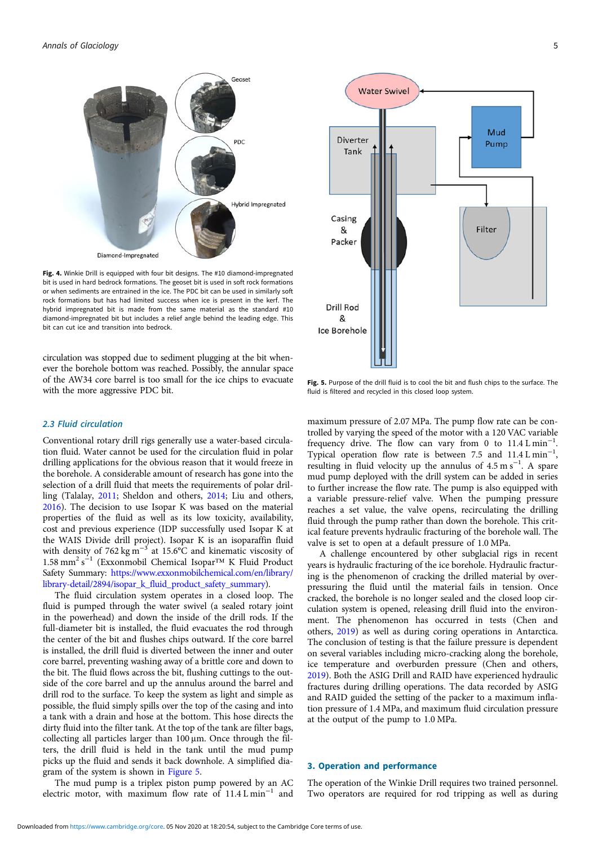<span id="page-4-0"></span>

Fig. 4. Winkie Drill is equipped with four bit designs. The #10 diamond-impregnated bit is used in hard bedrock formations. The geoset bit is used in soft rock formations or when sediments are entrained in the ice. The PDC bit can be used in similarly soft rock formations but has had limited success when ice is present in the kerf. The hybrid impregnated bit is made from the same material as the standard #10 diamond-impregnated bit but includes a relief angle behind the leading edge. This bit can cut ice and transition into bedrock.

circulation was stopped due to sediment plugging at the bit whenever the borehole bottom was reached. Possibly, the annular space of the AW34 core barrel is too small for the ice chips to evacuate with the more aggressive PDC bit.

#### 2.3 Fluid circulation

Conventional rotary drill rigs generally use a water-based circulation fluid. Water cannot be used for the circulation fluid in polar drilling applications for the obvious reason that it would freeze in the borehole. A considerable amount of research has gone into the selection of a drill fluid that meets the requirements of polar drilling (Talalay, [2011](#page-8-0); Sheldon and others, [2014](#page-8-0); Liu and others, [2016\)](#page-8-0). The decision to use Isopar K was based on the material properties of the fluid as well as its low toxicity, availability, cost and previous experience (IDP successfully used Isopar K at the WAIS Divide drill project). Isopar K is an isoparaffin fluid with density of 762 kg m<sup>-3</sup> at 15.6°C and kinematic viscosity of 1.58 mm<sup>2</sup> s<sup>-1</sup> (Exxonmobil Chemical Isopar™ K Fluid Product Safety Summary: [https://www.exxonmobilchemical.com/en/library/](https://www.exxonmobilchemical.com/en/library/library-detail/2894/isopar_k_fluid_product_safety_summary) [library-detail/2894/isopar\\_k\\_fluid\\_product\\_safety\\_summary](https://www.exxonmobilchemical.com/en/library/library-detail/2894/isopar_k_fluid_product_safety_summary)).

The fluid circulation system operates in a closed loop. The fluid is pumped through the water swivel (a sealed rotary joint in the powerhead) and down the inside of the drill rods. If the full-diameter bit is installed, the fluid evacuates the rod through the center of the bit and flushes chips outward. If the core barrel is installed, the drill fluid is diverted between the inner and outer core barrel, preventing washing away of a brittle core and down to the bit. The fluid flows across the bit, flushing cuttings to the outside of the core barrel and up the annulus around the barrel and drill rod to the surface. To keep the system as light and simple as possible, the fluid simply spills over the top of the casing and into a tank with a drain and hose at the bottom. This hose directs the dirty fluid into the filter tank. At the top of the tank are filter bags, collecting all particles larger than 100 μm. Once through the filters, the drill fluid is held in the tank until the mud pump picks up the fluid and sends it back downhole. A simplified diagram of the system is shown in Figure 5.

The mud pump is a triplex piston pump powered by an AC electric motor, with maximum flow rate of  $11.4 L min^{-1}$  and



Fig. 5. Purpose of the drill fluid is to cool the bit and flush chips to the surface. The fluid is filtered and recycled in this closed loop system.

maximum pressure of 2.07 MPa. The pump flow rate can be controlled by varying the speed of the motor with a 120 VAC variable frequency drive. The flow can vary from 0 to 11.4 L min−<sup>1</sup> . Typical operation flow rate is between 7.5 and 11.4 L min<sup>-1</sup>, resulting in fluid velocity up the annulus of  $4.5 \text{ m s}^{-1}$ . A spare mud pump deployed with the drill system can be added in series to further increase the flow rate. The pump is also equipped with a variable pressure-relief valve. When the pumping pressure reaches a set value, the valve opens, recirculating the drilling fluid through the pump rather than down the borehole. This critical feature prevents hydraulic fracturing of the borehole wall. The valve is set to open at a default pressure of 1.0 MPa.

A challenge encountered by other subglacial rigs in recent years is hydraulic fracturing of the ice borehole. Hydraulic fracturing is the phenomenon of cracking the drilled material by overpressuring the fluid until the material fails in tension. Once cracked, the borehole is no longer sealed and the closed loop circulation system is opened, releasing drill fluid into the environment. The phenomenon has occurred in tests (Chen and others, [2019\)](#page-8-0) as well as during coring operations in Antarctica. The conclusion of testing is that the failure pressure is dependent on several variables including micro-cracking along the borehole, ice temperature and overburden pressure (Chen and others, [2019](#page-8-0)). Both the ASIG Drill and RAID have experienced hydraulic fractures during drilling operations. The data recorded by ASIG and RAID guided the setting of the packer to a maximum inflation pressure of 1.4 MPa, and maximum fluid circulation pressure at the output of the pump to 1.0 MPa.

#### 3. Operation and performance

The operation of the Winkie Drill requires two trained personnel. Two operators are required for rod tripping as well as during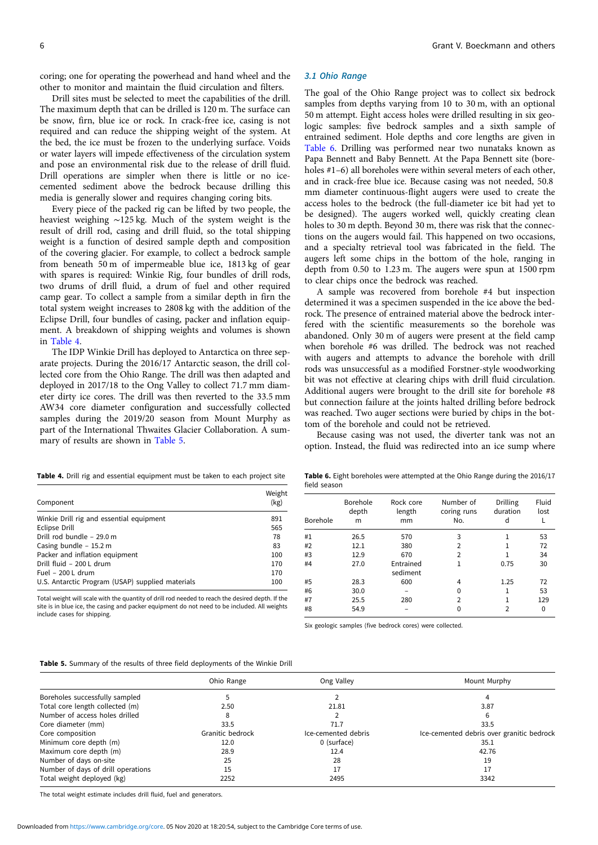coring; one for operating the powerhead and hand wheel and the other to monitor and maintain the fluid circulation and filters.

Drill sites must be selected to meet the capabilities of the drill. The maximum depth that can be drilled is 120 m. The surface can be snow, firn, blue ice or rock. In crack-free ice, casing is not required and can reduce the shipping weight of the system. At the bed, the ice must be frozen to the underlying surface. Voids or water layers will impede effectiveness of the circulation system and pose an environmental risk due to the release of drill fluid. Drill operations are simpler when there is little or no icecemented sediment above the bedrock because drilling this media is generally slower and requires changing coring bits.

Every piece of the packed rig can be lifted by two people, the heaviest weighing ∼125 kg. Much of the system weight is the result of drill rod, casing and drill fluid, so the total shipping weight is a function of desired sample depth and composition of the covering glacier. For example, to collect a bedrock sample from beneath 50 m of impermeable blue ice, 1813 kg of gear with spares is required: Winkie Rig, four bundles of drill rods, two drums of drill fluid, a drum of fuel and other required camp gear. To collect a sample from a similar depth in firn the total system weight increases to 2808 kg with the addition of the Eclipse Drill, four bundles of casing, packer and inflation equipment. A breakdown of shipping weights and volumes is shown in Table 4.

The IDP Winkie Drill has deployed to Antarctica on three separate projects. During the 2016/17 Antarctic season, the drill collected core from the Ohio Range. The drill was then adapted and deployed in 2017/18 to the Ong Valley to collect 71.7 mm diameter dirty ice cores. The drill was then reverted to the 33.5 mm AW34 core diameter configuration and successfully collected samples during the 2019/20 season from Mount Murphy as part of the International Thwaites Glacier Collaboration. A summary of results are shown in Table 5.

#### 3.1 Ohio Range

The goal of the Ohio Range project was to collect six bedrock samples from depths varying from 10 to 30 m, with an optional 50 m attempt. Eight access holes were drilled resulting in six geologic samples: five bedrock samples and a sixth sample of entrained sediment. Hole depths and core lengths are given in Table 6. Drilling was performed near two nunataks known as Papa Bennett and Baby Bennett. At the Papa Bennett site (boreholes #1–6) all boreholes were within several meters of each other, and in crack-free blue ice. Because casing was not needed, 50.8 mm diameter continuous-flight augers were used to create the access holes to the bedrock (the full-diameter ice bit had yet to be designed). The augers worked well, quickly creating clean holes to 30 m depth. Beyond 30 m, there was risk that the connections on the augers would fail. This happened on two occasions, and a specialty retrieval tool was fabricated in the field. The augers left some chips in the bottom of the hole, ranging in depth from 0.50 to 1.23 m. The augers were spun at 1500 rpm to clear chips once the bedrock was reached.

A sample was recovered from borehole #4 but inspection determined it was a specimen suspended in the ice above the bedrock. The presence of entrained material above the bedrock interfered with the scientific measurements so the borehole was abandoned. Only 30 m of augers were present at the field camp when borehole #6 was drilled. The bedrock was not reached with augers and attempts to advance the borehole with drill rods was unsuccessful as a modified Forstner-style woodworking bit was not effective at clearing chips with drill fluid circulation. Additional augers were brought to the drill site for borehole #8 but connection failure at the joints halted drilling before bedrock was reached. Two auger sections were buried by chips in the bottom of the borehole and could not be retrieved.

Because casing was not used, the diverter tank was not an option. Instead, the fluid was redirected into an ice sump where

Table 4. Drill rig and essential equipment must be taken to each project site

| Component                                        | Weight<br>(kg) |
|--------------------------------------------------|----------------|
| Winkie Drill rig and essential equipment         | 891            |
| Eclipse Drill                                    | 565            |
| Drill rod bundle - 29.0 m                        | 78             |
| Casing bundle - 15.2 m                           | 83             |
| Packer and inflation equipment                   | 100            |
| Drill fluid - 200 L drum                         | 170            |
| Fuel - $200 L$ drum                              | 170            |
| U.S. Antarctic Program (USAP) supplied materials | 100            |

Total weight will scale with the quantity of drill rod needed to reach the desired depth. If the site is in blue ice, the casing and packer equipment do not need to be included. All weights include cases for shipping.

Table 6. Eight boreholes were attempted at the Ohio Range during the 2016/17 field season

| Borehole | Borehole<br>depth<br>m | Rock core<br>length<br>mm | Number of<br>coring runs<br>No. | Drilling<br>duration<br>d | Fluid<br>lost |
|----------|------------------------|---------------------------|---------------------------------|---------------------------|---------------|
| #1       | 26.5                   | 570                       | 3                               |                           | 53            |
| #2       | 12.1                   | 380                       | $\overline{2}$                  |                           | 72            |
| #3       | 12.9                   | 670                       | $\overline{2}$                  | 1                         | 34            |
| #4       | 27.0                   | Entrained<br>sediment     | 1                               | 0.75                      | 30            |
| #5       | 28.3                   | 600                       | 4                               | 1.25                      | 72            |
| #6       | 30.0                   |                           | 0                               | 1                         | 53            |
| #7       | 25.5                   | 280                       | $\overline{2}$                  |                           | 129           |
| #8       | 54.9                   |                           | 0                               | $\overline{2}$            | 0             |

Six geologic samples (five bedrock cores) were collected.

|                                    | Ohio Range       | Ong Valley          | Mount Murphy                              |
|------------------------------------|------------------|---------------------|-------------------------------------------|
| Boreholes successfully sampled     |                  |                     |                                           |
| Total core length collected (m)    | 2.50             | 21.81               | 3.87                                      |
| Number of access holes drilled     |                  |                     |                                           |
| Core diameter (mm)                 | 33.5             | 71.7                | 33.5                                      |
| Core composition                   | Granitic bedrock | Ice-cemented debris | Ice-cemented debris over granitic bedrock |
| Minimum core depth (m)             | 12.0             | 0 (surface)         | 35.1                                      |
| Maximum core depth (m)             | 28.9             | 12.4                | 42.76                                     |
| Number of days on-site             | 25               | 28                  | 19                                        |
| Number of days of drill operations | 15               | 17                  | 17                                        |
| Total weight deployed (kg)         | 2252             | 2495                | 3342                                      |

The total weight estimate includes drill fluid, fuel and generators.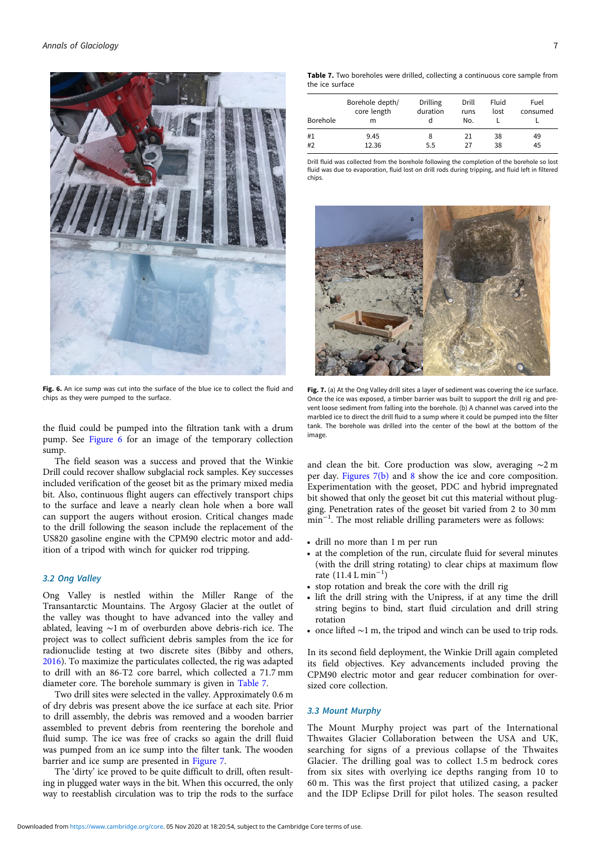

Fig. 6. An ice sump was cut into the surface of the blue ice to collect the fluid and chips as they were pumped to the surface.

the fluid could be pumped into the filtration tank with a drum pump. See Figure 6 for an image of the temporary collection sump.

The field season was a success and proved that the Winkie Drill could recover shallow subglacial rock samples. Key successes included verification of the geoset bit as the primary mixed media bit. Also, continuous flight augers can effectively transport chips to the surface and leave a nearly clean hole when a bore wall can support the augers without erosion. Critical changes made to the drill following the season include the replacement of the US820 gasoline engine with the CPM90 electric motor and addition of a tripod with winch for quicker rod tripping.

#### 3.2 Ong Valley

Ong Valley is nestled within the Miller Range of the Transantarctic Mountains. The Argosy Glacier at the outlet of the valley was thought to have advanced into the valley and ablated, leaving ∼1 m of overburden above debris-rich ice. The project was to collect sufficient debris samples from the ice for radionuclide testing at two discrete sites (Bibby and others, [2016\)](#page-8-0). To maximize the particulates collected, the rig was adapted to drill with an 86-T2 core barrel, which collected a 71.7 mm diameter core. The borehole summary is given in Table 7.

Two drill sites were selected in the valley. Approximately 0.6 m of dry debris was present above the ice surface at each site. Prior to drill assembly, the debris was removed and a wooden barrier assembled to prevent debris from reentering the borehole and fluid sump. The ice was free of cracks so again the drill fluid was pumped from an ice sump into the filter tank. The wooden barrier and ice sump are presented in Figure 7.

The 'dirty' ice proved to be quite difficult to drill, often resulting in plugged water ways in the bit. When this occurred, the only way to reestablish circulation was to trip the rods to the surface

| Borehole | Borehole depth/<br>core length<br>m | Drilling<br>duration | Drill<br>runs<br>No. | Fluid<br>lost | Fuel<br>consumed |
|----------|-------------------------------------|----------------------|----------------------|---------------|------------------|
| #1       | 9.45                                | 8                    | 21                   | 38            | 49               |
| #2       | 12.36                               | 5.5                  | 27                   | 38            | 45               |

Drill fluid was collected from the borehole following the completion of the borehole so lost fluid was due to evaporation, fluid lost on drill rods during tripping, and fluid left in filtered chips.



Fig. 7. (a) At the Ong Valley drill sites a layer of sediment was covering the ice surface. Once the ice was exposed, a timber barrier was built to support the drill rig and prevent loose sediment from falling into the borehole. (b) A channel was carved into the marbled ice to direct the drill fluid to a sump where it could be pumped into the filter tank. The borehole was drilled into the center of the bowl at the bottom of the image.

and clean the bit. Core production was slow, averaging ∼2 m per day. Figures 7(b) and [8](#page-7-0) show the ice and core composition. Experimentation with the geoset, PDC and hybrid impregnated bit showed that only the geoset bit cut this material without plugging. Penetration rates of the geoset bit varied from 2 to 30 mm min<sup>-1</sup>. The most reliable drilling parameters were as follows:

- drill no more than 1 m per run
- at the completion of the run, circulate fluid for several minutes (with the drill string rotating) to clear chips at maximum flow rate (11.4 L min−<sup>1</sup> )
- stop rotation and break the core with the drill rig
- lift the drill string with the Unipress, if at any time the drill string begins to bind, start fluid circulation and drill string rotation
- once lifted ∼1 m, the tripod and winch can be used to trip rods.

In its second field deployment, the Winkie Drill again completed its field objectives. Key advancements included proving the CPM90 electric motor and gear reducer combination for oversized core collection.

#### 3.3 Mount Murphy

The Mount Murphy project was part of the International Thwaites Glacier Collaboration between the USA and UK, searching for signs of a previous collapse of the Thwaites Glacier. The drilling goal was to collect 1.5 m bedrock cores from six sites with overlying ice depths ranging from 10 to 60 m. This was the first project that utilized casing, a packer and the IDP Eclipse Drill for pilot holes. The season resulted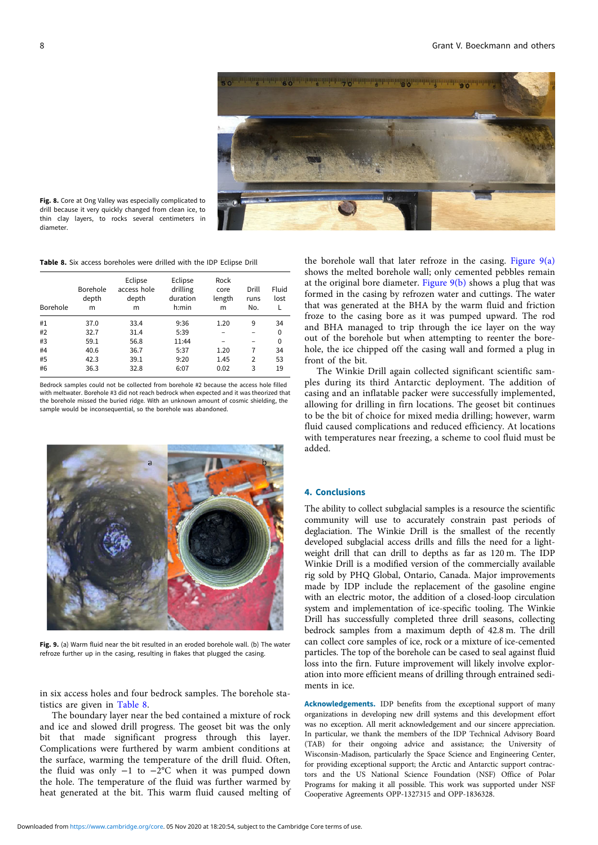

<span id="page-7-0"></span>Fig. 8. Core at Ong Valley was especially complicated to drill because it very quickly changed from clean ice, to thin clay layers, to rocks several centimeters in diameter.

| <b>Table 8.</b> Six access boreholes were drilled with the IDP Eclipse Drill |  |  |  |  |
|------------------------------------------------------------------------------|--|--|--|--|
|------------------------------------------------------------------------------|--|--|--|--|

| Borehole | Borehole<br>depth<br>m | Eclipse<br>access hole<br>depth<br>m | Eclipse<br>drilling<br>duration<br>h:min | Rock<br>core<br>length<br>m | Drill<br>runs<br>No. | Fluid<br>lost |
|----------|------------------------|--------------------------------------|------------------------------------------|-----------------------------|----------------------|---------------|
| #1       | 37.0                   | 33.4                                 | 9:36                                     | 1.20                        | 9                    | 34            |
| #2       | 32.7                   | 31.4                                 | 5:39                                     |                             |                      | 0             |
| #3       | 59.1                   | 56.8                                 | 11:44                                    |                             | -                    | 0             |
| #4       | 40.6                   | 36.7                                 | 5:37                                     | 1.20                        | 7                    | 34            |
| #5       | 42.3                   | 39.1                                 | 9:20                                     | 1.45                        | $\overline{2}$       | 53            |
| #6       | 36.3                   | 32.8                                 | 6:07                                     | 0.02                        | 3                    | 19            |

Bedrock samples could not be collected from borehole #2 because the access hole filled with meltwater. Borehole #3 did not reach bedrock when expected and it was theorized that the borehole missed the buried ridge. With an unknown amount of cosmic shielding, the sample would be inconsequential, so the borehole was abandoned.



Fig. 9. (a) Warm fluid near the bit resulted in an eroded borehole wall. (b) The water refroze further up in the casing, resulting in flakes that plugged the casing.

in six access holes and four bedrock samples. The borehole statistics are given in Table 8.

The boundary layer near the bed contained a mixture of rock and ice and slowed drill progress. The geoset bit was the only bit that made significant progress through this layer. Complications were furthered by warm ambient conditions at the surface, warming the temperature of the drill fluid. Often, the fluid was only −1 to −2°C when it was pumped down the hole. The temperature of the fluid was further warmed by heat generated at the bit. This warm fluid caused melting of the borehole wall that later refroze in the casing. Figure  $9(a)$ shows the melted borehole wall; only cemented pebbles remain at the original bore diameter. Figure  $9(b)$  shows a plug that was formed in the casing by refrozen water and cuttings. The water that was generated at the BHA by the warm fluid and friction froze to the casing bore as it was pumped upward. The rod and BHA managed to trip through the ice layer on the way out of the borehole but when attempting to reenter the borehole, the ice chipped off the casing wall and formed a plug in front of the bit.

The Winkie Drill again collected significant scientific samples during its third Antarctic deployment. The addition of casing and an inflatable packer were successfully implemented, allowing for drilling in firn locations. The geoset bit continues to be the bit of choice for mixed media drilling; however, warm fluid caused complications and reduced efficiency. At locations with temperatures near freezing, a scheme to cool fluid must be added.

#### 4. Conclusions

The ability to collect subglacial samples is a resource the scientific community will use to accurately constrain past periods of deglaciation. The Winkie Drill is the smallest of the recently developed subglacial access drills and fills the need for a lightweight drill that can drill to depths as far as 120 m. The IDP Winkie Drill is a modified version of the commercially available rig sold by PHQ Global, Ontario, Canada. Major improvements made by IDP include the replacement of the gasoline engine with an electric motor, the addition of a closed-loop circulation system and implementation of ice-specific tooling. The Winkie Drill has successfully completed three drill seasons, collecting bedrock samples from a maximum depth of 42.8 m. The drill can collect core samples of ice, rock or a mixture of ice-cemented particles. The top of the borehole can be cased to seal against fluid loss into the firn. Future improvement will likely involve exploration into more efficient means of drilling through entrained sediments in ice.

Acknowledgements. IDP benefits from the exceptional support of many organizations in developing new drill systems and this development effort was no exception. All merit acknowledgement and our sincere appreciation. In particular, we thank the members of the IDP Technical Advisory Board (TAB) for their ongoing advice and assistance; the University of Wisconsin-Madison, particularly the Space Science and Engineering Center, for providing exceptional support; the Arctic and Antarctic support contractors and the US National Science Foundation (NSF) Office of Polar Programs for making it all possible. This work was supported under NSF Cooperative Agreements OPP-1327315 and OPP-1836328.